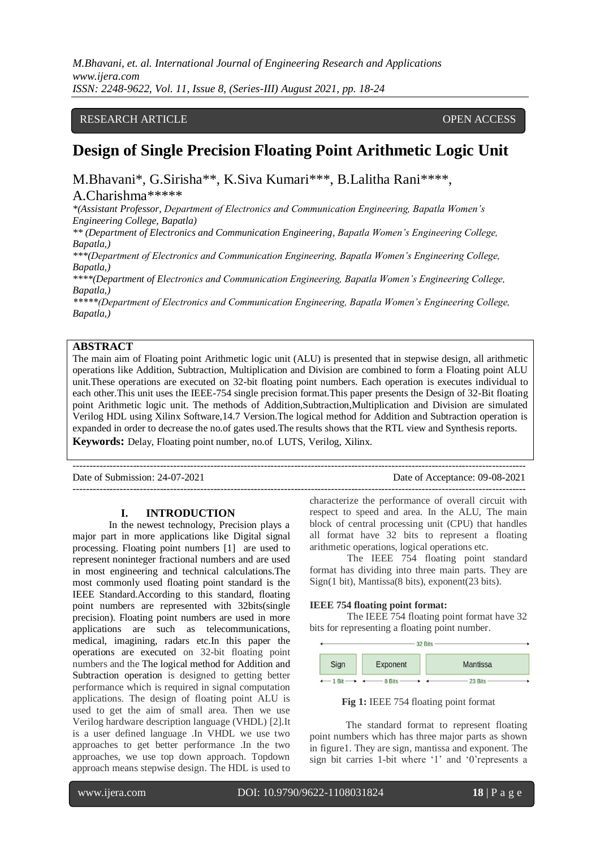### RESEARCH ARTICLE **CONTRACT ARTICLE** AND A SERVICE OPEN ACCESS OPEN ACCESS

# **Design of Single Precision Floating Point Arithmetic Logic Unit**

M.Bhavani\*, G.Sirisha\*\*, K.Siva Kumari\*\*\*, B.Lalitha Rani\*\*\*\*,

# A.Charishma\*\*\*\*\*

*\*(Assistant Professor, Department of Electronics and Communication Engineering, Bapatla Women's Engineering College, Bapatla)*

*\*\* (Department of Electronics and Communication Engineering, Bapatla Women's Engineering College, Bapatla,)*

*\*\*\*(Department of Electronics and Communication Engineering, Bapatla Women's Engineering College, Bapatla,)* 

*\*\*\*\*(Department of Electronics and Communication Engineering, Bapatla Women's Engineering College, Bapatla,)*

*\*\*\*\*\*(Department of Electronics and Communication Engineering, Bapatla Women's Engineering College, Bapatla,)*

# **ABSTRACT**

The main aim of Floating point Arithmetic logic unit (ALU) is presented that in stepwise design, all arithmetic operations like Addition, Subtraction, Multiplication and Division are combined to form a Floating point ALU unit.These operations are executed on 32-bit floating point numbers. Each operation is executes individual to each other.This unit uses the IEEE-754 single precision format.This paper presents the Design of 32-Bit floating point Arithmetic logic unit. The methods of Addition,Subtraction,Multiplication and Division are simulated Verilog HDL using Xilinx Software,14.7 Version.The logical method for Addition and Subtraction operation is expanded in order to decrease the no.of gates used.The results shows that the RTL view and Synthesis reports. **Keywords:** Delay, Floating point number, no.of LUTS, Verilog, Xilinx.

--------------------------------------------------------------------------------------------------------------------------------------- Date of Submission: 24-07-2021 Date of Acceptance: 09-08-2021 ---------------------------------------------------------------------------------------------------------------------------------------

#### **I. INTRODUCTION**

In the newest technology, Precision plays a major part in more applications like Digital signal processing. Floating point numbers [1] are used to represent noninteger fractional numbers and are used in most engineering and technical calculations.The most commonly used floating point standard is the IEEE Standard.According to this standard, floating point numbers are represented with 32bits(single precision). Floating point numbers are used in more applications are such as telecommunications, medical, imagining, radars etc.In this paper the operations are executed on 32-bit floating point numbers and the The logical method for Addition and Subtraction operation is designed to getting better performance which is required in signal computation applications. The design of floating point ALU is used to get the aim of small area. Then we use Verilog hardware description language (VHDL) [2].It is a user defined language .In VHDL we use two approaches to get better performance .In the two approaches, we use top down approach. Topdown approach means stepwise design. The HDL is used to

characterize the performance of overall circuit with respect to speed and area. In the ALU, The main block of central processing unit (CPU) that handles all format have 32 bits to represent a floating arithmetic operations, logical operations etc.

 The IEEE 754 floating point standard format has dividing into three main parts. They are Sign(1 bit), Mantissa(8 bits), exponent(23 bits).

#### **IEEE 754 floating point format:**

The IEEE 754 floating point format have 32 bits for representing a floating point number.



**Fig 1:** IEEE 754 floating point format

The standard format to represent floating point numbers which has three major parts as shown in figure1. They are sign, mantissa and exponent. The sign bit carries 1-bit where '1' and '0'represents a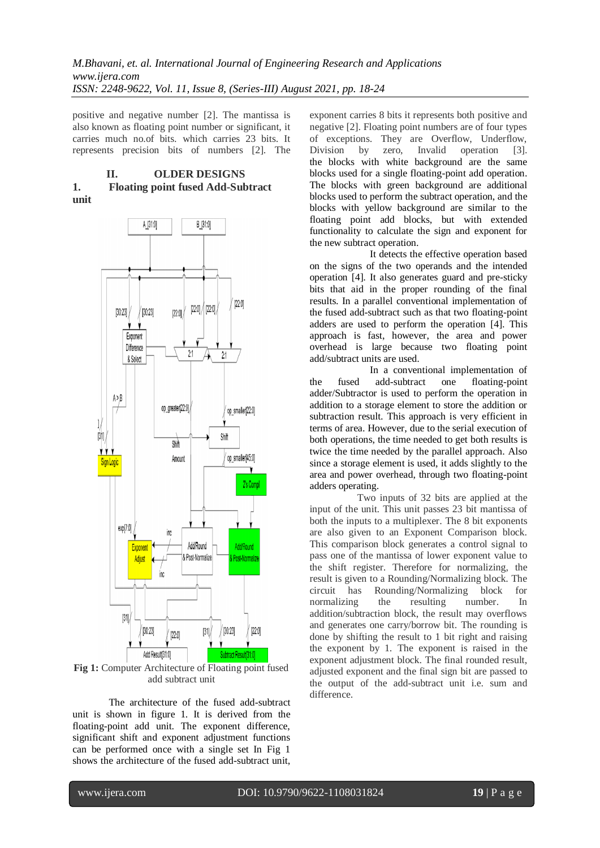positive and negative number [2]. The mantissa is also known as floating point number or significant, it carries much no.of bits. which carries 23 bits. It represents precision bits of numbers [2]. The

### **II. OLDER DESIGNS 1. Floating point fused Add-Subtract unit**



**Fig 1:** Computer Architecture of Floating point fused add subtract unit

The architecture of the fused add-subtract unit is shown in figure 1. It is derived from the floating-point add unit. The exponent difference, significant shift and exponent adjustment functions can be performed once with a single set In Fig 1 shows the architecture of the fused add-subtract unit,

exponent carries 8 bits it represents both positive and negative [2]. Floating point numbers are of four types of exceptions. They are Overflow, Underflow, Division by zero, Invalid operation [3]. the blocks with white background are the same blocks used for a single floating-point add operation. The blocks with green background are additional blocks used to perform the subtract operation, and the blocks with yellow background are similar to the floating point add blocks, but with extended functionality to calculate the sign and exponent for the new subtract operation.

 It detects the effective operation based on the signs of the two operands and the intended operation [4]. It also generates guard and pre-sticky bits that aid in the proper rounding of the final results. In a parallel conventional implementation of the fused add-subtract such as that two floating-point adders are used to perform the operation [4]. This approach is fast, however, the area and power overhead is large because two floating point add/subtract units are used.

 In a conventional implementation of the fused add-subtract one floating-point adder/Subtractor is used to perform the operation in addition to a storage element to store the addition or subtraction result. This approach is very efficient in terms of area. However, due to the serial execution of both operations, the time needed to get both results is twice the time needed by the parallel approach. Also since a storage element is used, it adds slightly to the area and power overhead, through two floating-point adders operating.

 Two inputs of 32 bits are applied at the input of the unit. This unit passes 23 bit mantissa of both the inputs to a multiplexer. The 8 bit exponents are also given to an Exponent Comparison block. This comparison block generates a control signal to pass one of the mantissa of lower exponent value to the shift register. Therefore for normalizing, the result is given to a Rounding/Normalizing block. The circuit has Rounding/Normalizing block for normalizing the resulting number. In addition/subtraction block, the result may overflows and generates one carry/borrow bit. The rounding is done by shifting the result to 1 bit right and raising the exponent by 1. The exponent is raised in the exponent adjustment block. The final rounded result, adjusted exponent and the final sign bit are passed to the output of the add-subtract unit i.e. sum and difference.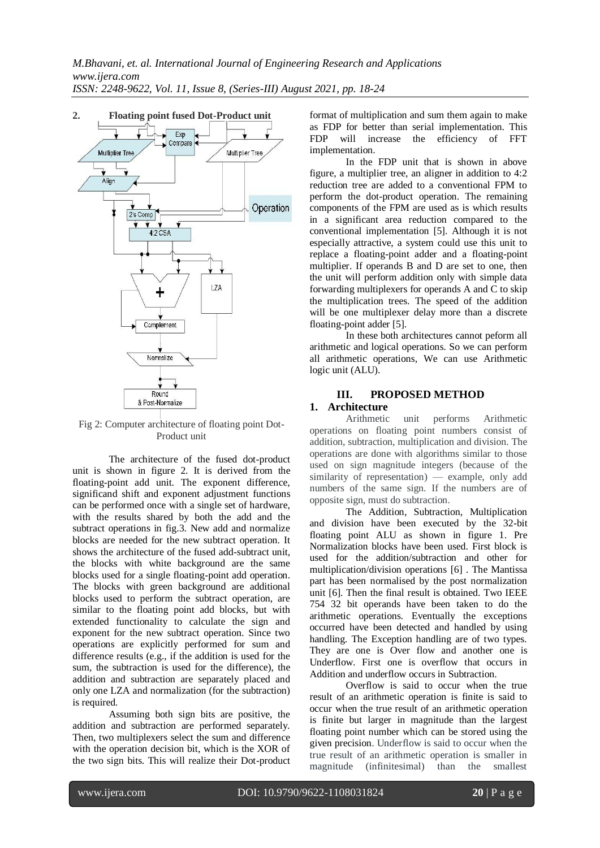

Fig 2: Computer architecture of floating point Dot-Product unit

The architecture of the fused dot-product unit is shown in figure 2. It is derived from the floating-point add unit. The exponent difference, significand shift and exponent adjustment functions can be performed once with a single set of hardware, with the results shared by both the add and the subtract operations in fig.3. New add and normalize blocks are needed for the new subtract operation. It shows the architecture of the fused add-subtract unit, the blocks with white background are the same blocks used for a single floating-point add operation. The blocks with green background are additional blocks used to perform the subtract operation, are similar to the floating point add blocks, but with extended functionality to calculate the sign and exponent for the new subtract operation. Since two operations are explicitly performed for sum and difference results (e.g., if the addition is used for the sum, the subtraction is used for the difference), the addition and subtraction are separately placed and only one LZA and normalization (for the subtraction) is required.

Assuming both sign bits are positive, the addition and subtraction are performed separately. Then, two multiplexers select the sum and difference with the operation decision bit, which is the XOR of the two sign bits. This will realize their Dot-product format of multiplication and sum them again to make as FDP for better than serial implementation. This FDP will increase the efficiency of FFT implementation.

In the FDP unit that is shown in above figure, a multiplier tree, an aligner in addition to 4:2 reduction tree are added to a conventional FPM to perform the dot-product operation. The remaining components of the FPM are used as is which results in a significant area reduction compared to the conventional implementation [5]. Although it is not especially attractive, a system could use this unit to replace a floating-point adder and a floating-point multiplier. If operands B and D are set to one, then the unit will perform addition only with simple data forwarding multiplexers for operands A and C to skip the multiplication trees. The speed of the addition will be one multiplexer delay more than a discrete floating-point adder [5].

In these both architectures cannot peform all arithmetic and logical operations. So we can perform all arithmetic operations, We can use Arithmetic logic unit (ALU).

# **III. PROPOSED METHOD**

#### **1. Architecture**

Arithmetic unit performs Arithmetic operations on floating point numbers consist of addition, subtraction, multiplication and division. The operations are done with algorithms similar to those used on sign magnitude integers (because of the similarity of representation) — example, only add numbers of the same sign. If the numbers are of opposite sign, must do subtraction.

The Addition, Subtraction, Multiplication and division have been executed by the 32-bit floating point ALU as shown in figure 1. Pre Normalization blocks have been used. First block is used for the addition/subtraction and other for multiplication/division operations [6] . The Mantissa part has been normalised by the post normalization unit [6]. Then the final result is obtained. Two IEEE 754 32 bit operands have been taken to do the arithmetic operations. Eventually the exceptions occurred have been detected and handled by using handling. The Exception handling are of two types. They are one is Over flow and another one is Underflow. First one is overflow that occurs in Addition and underflow occurs in Subtraction.

Overflow is said to occur when the true result of an arithmetic operation is finite is said to occur when the true result of an arithmetic operation is finite but larger in magnitude than the largest floating point number which can be stored using the given precision. Underflow is said to occur when the true result of an arithmetic operation is smaller in magnitude (infinitesimal) than the smallest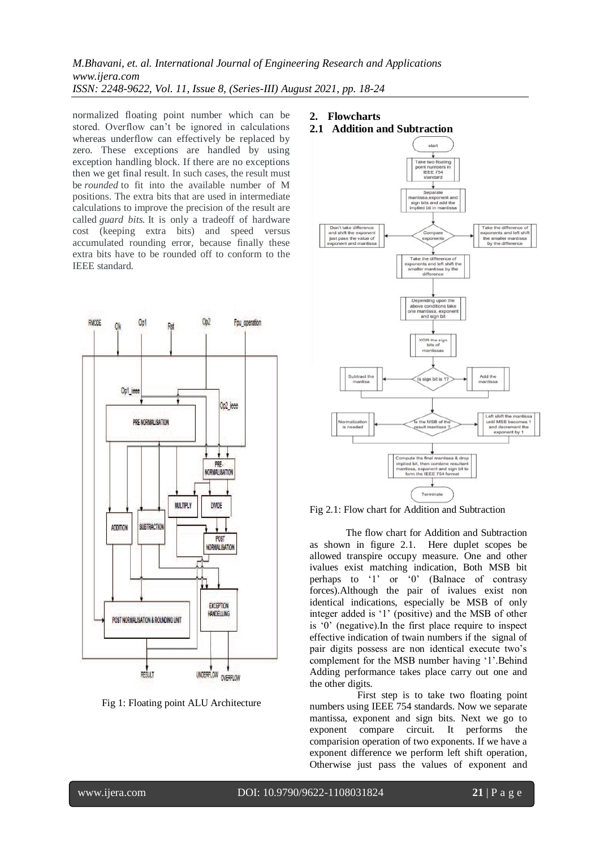normalized floating point number which can be stored. Overflow can't be ignored in calculations whereas underflow can effectively be replaced by zero. These exceptions are handled by using exception handling block. If there are no exceptions then we get final result. In such cases, the result must be *rounded* to fit into the available number of M positions. The extra bits that are used in intermediate calculations to improve the precision of the result are called *guard bits.* It is only a tradeoff of hardware cost (keeping extra bits) and speed versus accumulated rounding error, because finally these extra bits have to be rounded off to conform to the IEEE standard.



Fig 1: Floating point ALU Architecture

- **2. Flowcharts**
- **2.1 Addition and Subtraction**





The flow chart for Addition and Subtraction as shown in figure 2.1. Here duplet scopes be allowed transpire occupy measure. One and other ivalues exist matching indication, Both MSB bit perhaps to '1' or '0' (Balnace of contrasy forces).Although the pair of ivalues exist non identical indications, especially be MSB of only integer added is '1' (positive) and the MSB of other is '0' (negative).In the first place require to inspect effective indication of twain numbers if the signal of pair digits possess are non identical execute two's complement for the MSB number having '1'.Behind Adding performance takes place carry out one and the other digits.

 First step is to take two floating point numbers using IEEE 754 standards. Now we separate mantissa, exponent and sign bits. Next we go to exponent compare circuit. It performs the comparision operation of two exponents. If we have a exponent difference we perform left shift operation, Otherwise just pass the values of exponent and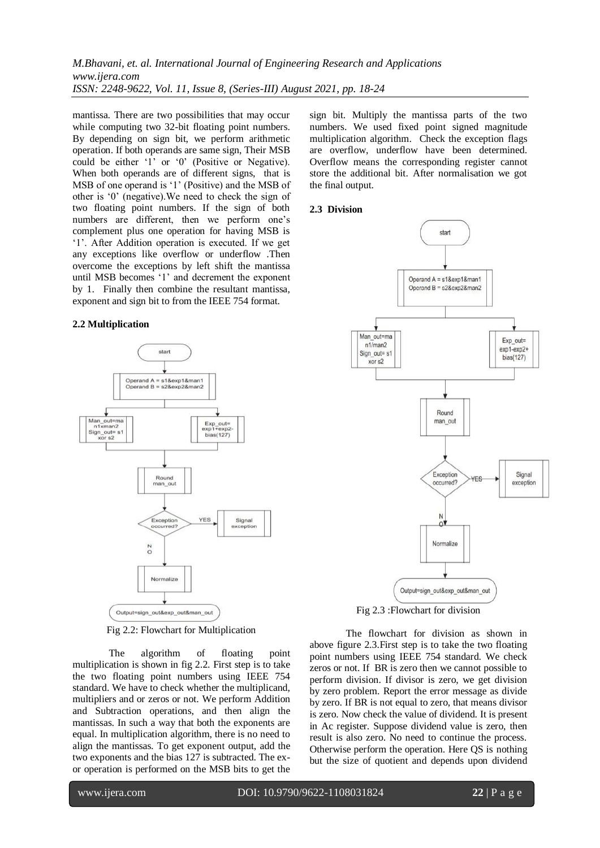mantissa. There are two possibilities that may occur while computing two 32-bit floating point numbers. By depending on sign bit, we perform arithmetic operation. If both operands are same sign, Their MSB could be either '1' or '0' (Positive or Negative). When both operands are of different signs, that is MSB of one operand is '1' (Positive) and the MSB of other is '0' (negative).We need to check the sign of two floating point numbers. If the sign of both numbers are different, then we perform one's complement plus one operation for having MSB is '1'. After Addition operation is executed. If we get any exceptions like overflow or underflow .Then overcome the exceptions by left shift the mantissa until MSB becomes '1' and decrement the exponent by 1. Finally then combine the resultant mantissa, exponent and sign bit to from the IEEE 754 format.

#### **2.2 Multiplication**



Fig 2.2: Flowchart for Multiplication

The algorithm of floating point multiplication is shown in fig 2.2. First step is to take the two floating point numbers using IEEE 754 standard. We have to check whether the multiplicand, multipliers and or zeros or not. We perform Addition and Subtraction operations, and then align the mantissas. In such a way that both the exponents are equal. In multiplication algorithm, there is no need to align the mantissas. To get exponent output, add the two exponents and the bias 127 is subtracted. The exor operation is performed on the MSB bits to get the

sign bit. Multiply the mantissa parts of the two numbers. We used fixed point signed magnitude multiplication algorithm. Check the exception flags are overflow, underflow have been determined. Overflow means the corresponding register cannot store the additional bit. After normalisation we got the final output.

#### **2.3 Division**



Fig 2.3 :Flowchart for division

The flowchart for division as shown in above figure 2.3.First step is to take the two floating point numbers using IEEE 754 standard. We check zeros or not. If BR is zero then we cannot possible to perform division. If divisor is zero, we get division by zero problem. Report the error message as divide by zero. If BR is not equal to zero, that means divisor is zero. Now check the value of dividend. It is present in Ac register. Suppose dividend value is zero, then result is also zero. No need to continue the process. Otherwise perform the operation. Here QS is nothing but the size of quotient and depends upon dividend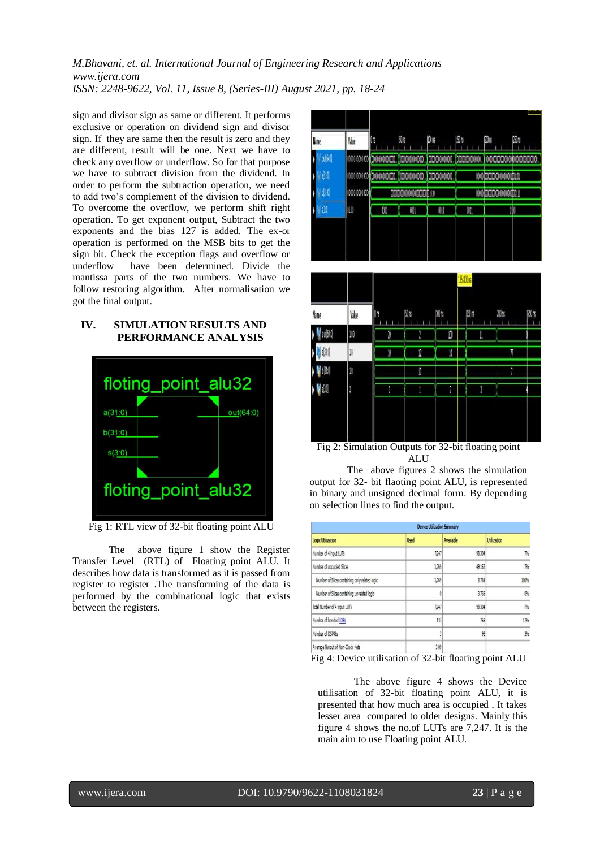sign and divisor sign as same or different. It performs exclusive or operation on dividend sign and divisor sign. If they are same then the result is zero and they are different, result will be one. Next we have to check any overflow or underflow. So for that purpose we have to subtract division from the dividend. In order to perform the subtraction operation, we need to add two's complement of the division to dividend. To overcome the overflow, we perform shift right operation. To get exponent output, Subtract the two exponents and the bias 127 is added. The ex-or operation is performed on the MSB bits to get the sign bit. Check the exception flags and overflow or underflow have been determined. Divide the mantissa parts of the two numbers. We have to follow restoring algorithm. After normalisation we got the final output.

# **IV. SIMULATION RESULTS AND PERFORMANCE ANALYSIS**



Fig 1: RTL view of 32-bit floating point ALU

The above figure 1 show the Register Transfer Level (RTL) of Floating point ALU. It describes how data is transformed as it is passed from register to register .The transforming of the data is performed by the combinational logic that exists between the registers.



Fig 2: Simulation Outputs for 32-bit floating point ALU

 The above figures 2 shows the simulation output for 32- bit flaoting point ALU, is represented in binary and unsigned decimal form. By depending on selection lines to find the output.

|                                                |             | <b>Device Utilization Summary</b> |                    |
|------------------------------------------------|-------------|-----------------------------------|--------------------|
| <b>Logic Utilization</b>                       | <b>Used</b> | <b>Available</b>                  | <b>Utilization</b> |
| Number of 4 input LUTs                         | 7,247       | 98.304                            | 7%                 |
| Number of occupied Slices                      | 3,769       | 49,152                            | 7%                 |
| Number of Slices containing only related logic | 3,769       | 3,769                             | 100%               |
| Number of Slices containing unrelated logic    | 0           | 3,769                             | 0%                 |
| Total Number of 4 input LUTs                   | 7247        | 98.304                            | 7%                 |
| Number of bonded IOBs                          | 133         | 768                               | 17%                |
| Number of DSP48s                               |             | $\frac{96}{20}$                   | $\frac{30}{276}$   |
| Average Fenout of Non-Clock Nets               | 3.09        |                                   |                    |

Fig 4: Device utilisation of 32-bit floating point ALU

The above figure 4 shows the Device utilisation of 32-bit floating point ALU, it is presented that how much area is occupied . It takes lesser area compared to older designs. Mainly this figure 4 shows the no.of LUTs are 7,247. It is the main aim to use Floating point ALU.